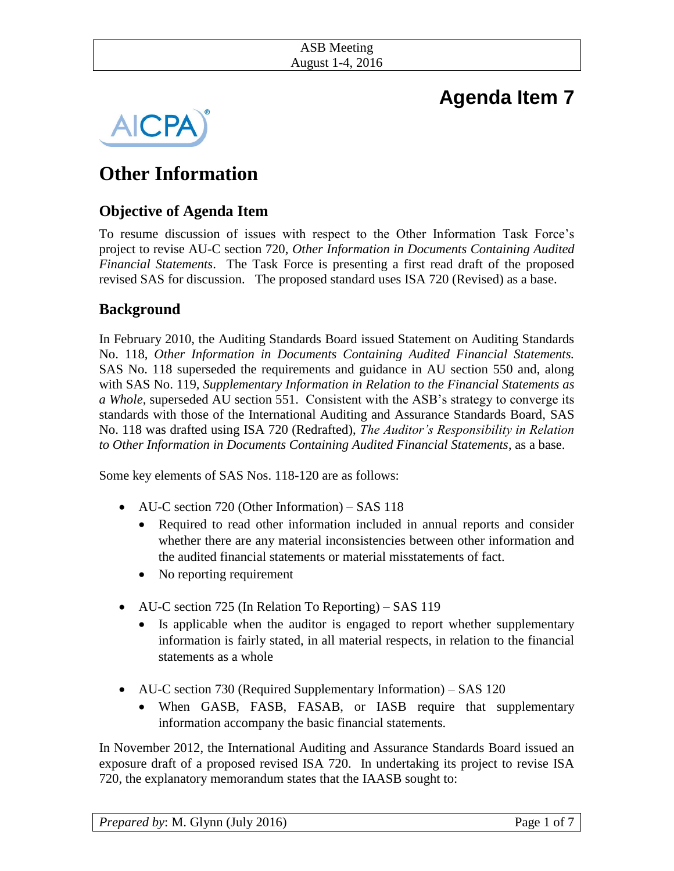| <b>ASB</b> Meeting |  |
|--------------------|--|
| August 1-4, 2016   |  |

# **Agenda Item 7**



# **Other Information**

# **Objective of Agenda Item**

To resume discussion of issues with respect to the Other Information Task Force's project to revise AU-C section 720, *Other Information in Documents Containing Audited Financial Statements*. The Task Force is presenting a first read draft of the proposed revised SAS for discussion. The proposed standard uses ISA 720 (Revised) as a base.

## **Background**

In February 2010, the Auditing Standards Board issued Statement on Auditing Standards No. 118, *Other Information in Documents Containing Audited Financial Statements.*  SAS No. 118 superseded the requirements and guidance in AU section 550 and, along with SAS No. 119, *Supplementary Information in Relation to the Financial Statements as a Whole*, superseded AU section 551. Consistent with the ASB's strategy to converge its standards with those of the International Auditing and Assurance Standards Board, SAS No. 118 was drafted using ISA 720 (Redrafted), *The Auditor's Responsibility in Relation to Other Information in Documents Containing Audited Financial Statements*, as a base.

Some key elements of SAS Nos. 118-120 are as follows:

- AU-C section 720 (Other Information) SAS 118
	- Required to read other information included in annual reports and consider whether there are any material inconsistencies between other information and the audited financial statements or material misstatements of fact.
	- No reporting requirement
- AU-C section 725 (In Relation To Reporting) SAS 119
	- Is applicable when the auditor is engaged to report whether supplementary information is fairly stated, in all material respects, in relation to the financial statements as a whole
- AU-C section 730 (Required Supplementary Information) SAS 120
	- When GASB, FASB, FASAB, or IASB require that supplementary information accompany the basic financial statements.

In November 2012, the International Auditing and Assurance Standards Board issued an exposure draft of a proposed revised ISA 720. In undertaking its project to revise ISA 720, the explanatory memorandum states that the IAASB sought to: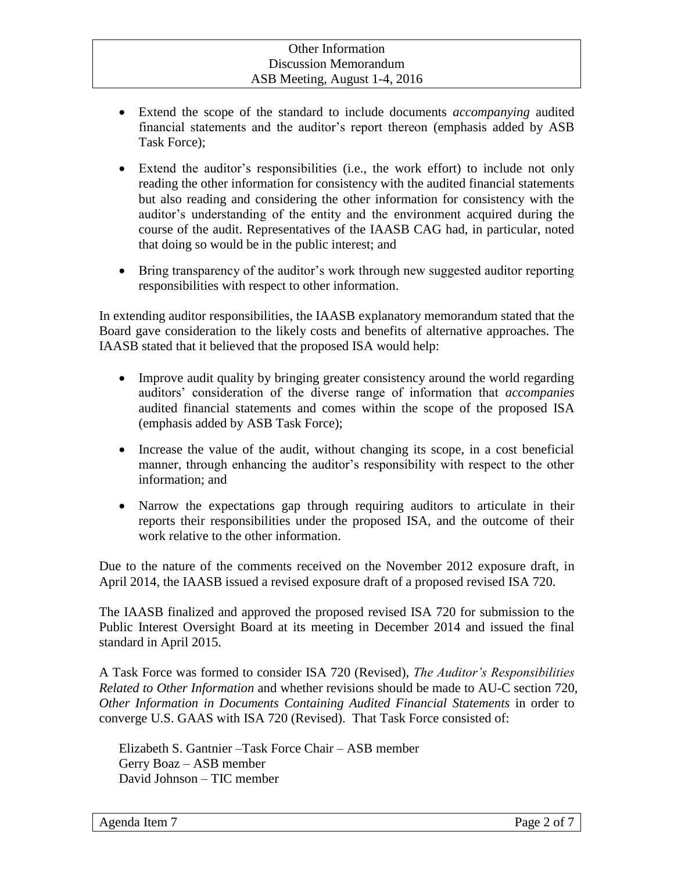- Extend the scope of the standard to include documents *accompanying* audited financial statements and the auditor's report thereon (emphasis added by ASB Task Force);
- Extend the auditor's responsibilities (i.e., the work effort) to include not only reading the other information for consistency with the audited financial statements but also reading and considering the other information for consistency with the auditor's understanding of the entity and the environment acquired during the course of the audit. Representatives of the IAASB CAG had, in particular, noted that doing so would be in the public interest; and
- Bring transparency of the auditor's work through new suggested auditor reporting responsibilities with respect to other information.

In extending auditor responsibilities, the IAASB explanatory memorandum stated that the Board gave consideration to the likely costs and benefits of alternative approaches. The IAASB stated that it believed that the proposed ISA would help:

- Improve audit quality by bringing greater consistency around the world regarding auditors' consideration of the diverse range of information that *accompanies* audited financial statements and comes within the scope of the proposed ISA (emphasis added by ASB Task Force);
- Increase the value of the audit, without changing its scope, in a cost beneficial manner, through enhancing the auditor's responsibility with respect to the other information; and
- Narrow the expectations gap through requiring auditors to articulate in their reports their responsibilities under the proposed ISA, and the outcome of their work relative to the other information.

Due to the nature of the comments received on the November 2012 exposure draft, in April 2014, the IAASB issued a revised exposure draft of a proposed revised ISA 720.

The IAASB finalized and approved the proposed revised ISA 720 for submission to the Public Interest Oversight Board at its meeting in December 2014 and issued the final standard in April 2015.

A Task Force was formed to consider ISA 720 (Revised), *The Auditor's Responsibilities Related to Other Information* and whether revisions should be made to AU-C section 720, *Other Information in Documents Containing Audited Financial Statements* in order to converge U.S. GAAS with ISA 720 (Revised). That Task Force consisted of:

Elizabeth S. Gantnier –Task Force Chair – ASB member Gerry Boaz – ASB member David Johnson – TIC member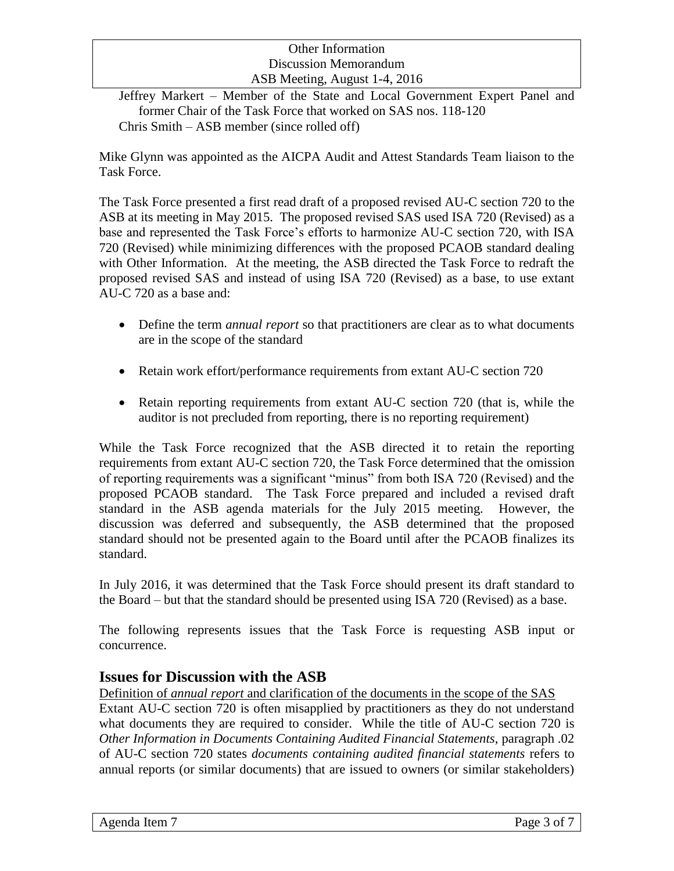Jeffrey Markert – Member of the State and Local Government Expert Panel and former Chair of the Task Force that worked on SAS nos. 118-120 Chris Smith – ASB member (since rolled off)

Mike Glynn was appointed as the AICPA Audit and Attest Standards Team liaison to the Task Force.

The Task Force presented a first read draft of a proposed revised AU-C section 720 to the ASB at its meeting in May 2015. The proposed revised SAS used ISA 720 (Revised) as a base and represented the Task Force's efforts to harmonize AU-C section 720, with ISA 720 (Revised) while minimizing differences with the proposed PCAOB standard dealing with Other Information. At the meeting, the ASB directed the Task Force to redraft the proposed revised SAS and instead of using ISA 720 (Revised) as a base, to use extant AU-C 720 as a base and:

- Define the term *annual report* so that practitioners are clear as to what documents are in the scope of the standard
- Retain work effort/performance requirements from extant AU-C section 720
- Retain reporting requirements from extant AU-C section 720 (that is, while the auditor is not precluded from reporting, there is no reporting requirement)

While the Task Force recognized that the ASB directed it to retain the reporting requirements from extant AU-C section 720, the Task Force determined that the omission of reporting requirements was a significant "minus" from both ISA 720 (Revised) and the proposed PCAOB standard. The Task Force prepared and included a revised draft standard in the ASB agenda materials for the July 2015 meeting. However, the discussion was deferred and subsequently, the ASB determined that the proposed standard should not be presented again to the Board until after the PCAOB finalizes its standard.

In July 2016, it was determined that the Task Force should present its draft standard to the Board – but that the standard should be presented using ISA 720 (Revised) as a base.

The following represents issues that the Task Force is requesting ASB input or concurrence.

## **Issues for Discussion with the ASB**

Definition of *annual report* and clarification of the documents in the scope of the SAS Extant AU-C section 720 is often misapplied by practitioners as they do not understand what documents they are required to consider. While the title of AU-C section 720 is *Other Information in Documents Containing Audited Financial Statements*, paragraph .02 of AU-C section 720 states *documents containing audited financial statements* refers to annual reports (or similar documents) that are issued to owners (or similar stakeholders)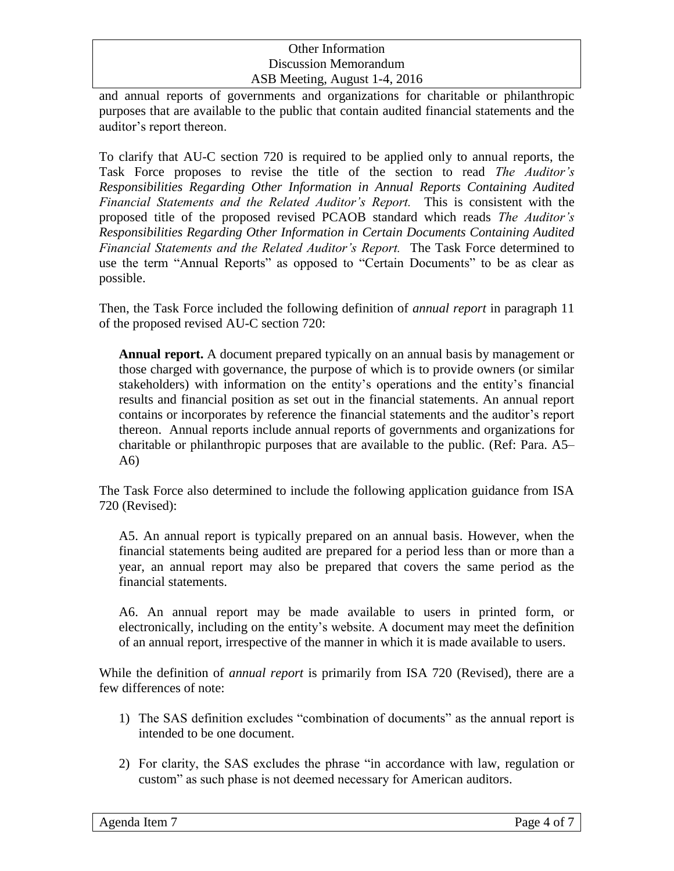and annual reports of governments and organizations for charitable or philanthropic purposes that are available to the public that contain audited financial statements and the auditor's report thereon.

To clarify that AU-C section 720 is required to be applied only to annual reports, the Task Force proposes to revise the title of the section to read *The Auditor's Responsibilities Regarding Other Information in Annual Reports Containing Audited Financial Statements and the Related Auditor's Report.* This is consistent with the proposed title of the proposed revised PCAOB standard which reads *The Auditor's Responsibilities Regarding Other Information in Certain Documents Containing Audited Financial Statements and the Related Auditor's Report.* The Task Force determined to use the term "Annual Reports" as opposed to "Certain Documents" to be as clear as possible.

Then, the Task Force included the following definition of *annual report* in paragraph 11 of the proposed revised AU-C section 720:

**Annual report.** A document prepared typically on an annual basis by management or those charged with governance, the purpose of which is to provide owners (or similar stakeholders) with information on the entity's operations and the entity's financial results and financial position as set out in the financial statements. An annual report contains or incorporates by reference the financial statements and the auditor's report thereon. Annual reports include annual reports of governments and organizations for charitable or philanthropic purposes that are available to the public. (Ref: Para. A5– A6)

The Task Force also determined to include the following application guidance from ISA 720 (Revised):

A5. An annual report is typically prepared on an annual basis. However, when the financial statements being audited are prepared for a period less than or more than a year, an annual report may also be prepared that covers the same period as the financial statements.

A6. An annual report may be made available to users in printed form, or electronically, including on the entity's website. A document may meet the definition of an annual report, irrespective of the manner in which it is made available to users.

While the definition of *annual report* is primarily from ISA 720 (Revised), there are a few differences of note:

- 1) The SAS definition excludes "combination of documents" as the annual report is intended to be one document.
- 2) For clarity, the SAS excludes the phrase "in accordance with law, regulation or custom" as such phase is not deemed necessary for American auditors.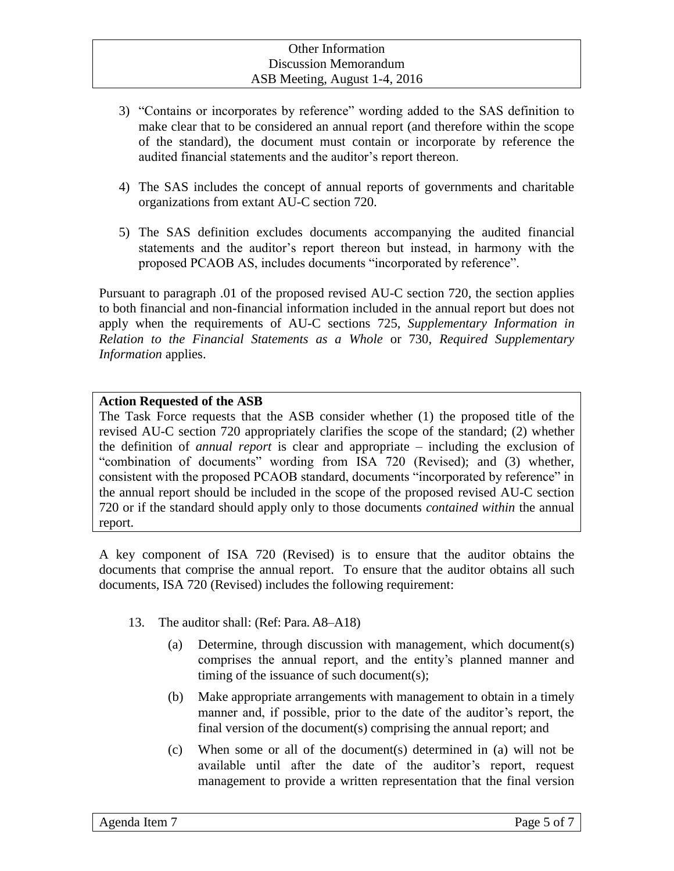- 3) "Contains or incorporates by reference" wording added to the SAS definition to make clear that to be considered an annual report (and therefore within the scope of the standard), the document must contain or incorporate by reference the audited financial statements and the auditor's report thereon.
- 4) The SAS includes the concept of annual reports of governments and charitable organizations from extant AU-C section 720.
- 5) The SAS definition excludes documents accompanying the audited financial statements and the auditor's report thereon but instead, in harmony with the proposed PCAOB AS, includes documents "incorporated by reference".

Pursuant to paragraph .01 of the proposed revised AU-C section 720, the section applies to both financial and non-financial information included in the annual report but does not apply when the requirements of AU-C sections 725, *Supplementary Information in Relation to the Financial Statements as a Whole* or 730, *Required Supplementary Information* applies.

#### **Action Requested of the ASB**

The Task Force requests that the ASB consider whether (1) the proposed title of the revised AU-C section 720 appropriately clarifies the scope of the standard; (2) whether the definition of *annual report* is clear and appropriate – including the exclusion of "combination of documents" wording from ISA 720 (Revised); and (3) whether, consistent with the proposed PCAOB standard, documents "incorporated by reference" in the annual report should be included in the scope of the proposed revised AU-C section 720 or if the standard should apply only to those documents *contained within* the annual report.

A key component of ISA 720 (Revised) is to ensure that the auditor obtains the documents that comprise the annual report. To ensure that the auditor obtains all such documents, ISA 720 (Revised) includes the following requirement:

- 13. The auditor shall: (Ref: Para. A8–A18)
	- (a) Determine, through discussion with management, which document(s) comprises the annual report, and the entity's planned manner and timing of the issuance of such document(s);
	- (b) Make appropriate arrangements with management to obtain in a timely manner and, if possible, prior to the date of the auditor's report, the final version of the document(s) comprising the annual report; and
	- (c) When some or all of the document(s) determined in (a) will not be available until after the date of the auditor's report, request management to provide a written representation that the final version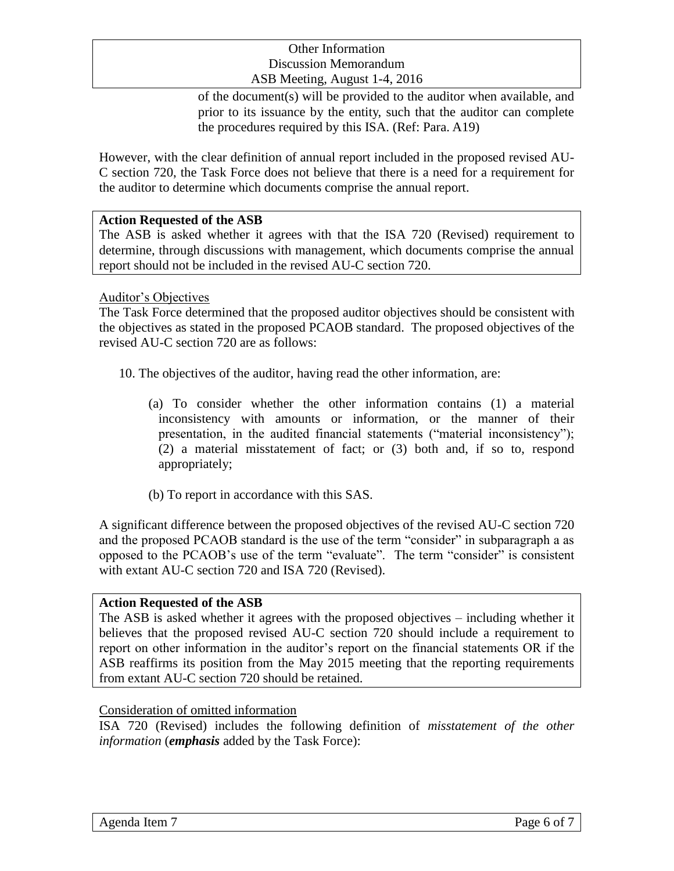of the document(s) will be provided to the auditor when available, and prior to its issuance by the entity, such that the auditor can complete the procedures required by this ISA. (Ref: Para. A19)

However, with the clear definition of annual report included in the proposed revised AU-C section 720, the Task Force does not believe that there is a need for a requirement for the auditor to determine which documents comprise the annual report.

### **Action Requested of the ASB**

The ASB is asked whether it agrees with that the ISA 720 (Revised) requirement to determine, through discussions with management, which documents comprise the annual report should not be included in the revised AU-C section 720.

### Auditor's Objectives

The Task Force determined that the proposed auditor objectives should be consistent with the objectives as stated in the proposed PCAOB standard. The proposed objectives of the revised AU-C section 720 are as follows:

- 10. The objectives of the auditor, having read the other information, are:
	- (a) To consider whether the other information contains (1) a material inconsistency with amounts or information, or the manner of their presentation, in the audited financial statements ("material inconsistency"); (2) a material misstatement of fact; or (3) both and, if so to, respond appropriately;
	- (b) To report in accordance with this SAS.

A significant difference between the proposed objectives of the revised AU-C section 720 and the proposed PCAOB standard is the use of the term "consider" in subparagraph a as opposed to the PCAOB's use of the term "evaluate". The term "consider" is consistent with extant AU-C section 720 and ISA 720 (Revised).

#### **Action Requested of the ASB**

The ASB is asked whether it agrees with the proposed objectives – including whether it believes that the proposed revised AU-C section 720 should include a requirement to report on other information in the auditor's report on the financial statements OR if the ASB reaffirms its position from the May 2015 meeting that the reporting requirements from extant AU-C section 720 should be retained.

#### Consideration of omitted information

ISA 720 (Revised) includes the following definition of *misstatement of the other information* (*emphasis* added by the Task Force):